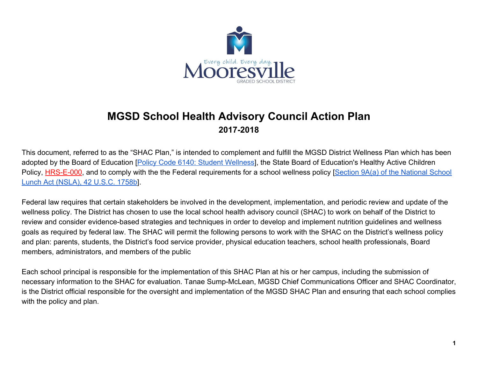

## **MGSD School Health Advisory Council Action Plan 2017-2018**

This document, referred to as the "SHAC Plan," is intended to complement and fulfill the MGSD District Wellness Plan which has been adopted by the Board of Education [\[Policy Code 6140: Student Wellness\]](https://boardpolicyonline.com/?b=mooresville&s=160175), the State Board of Education's Healthy Active Children Policy, [HRS-E-000](http://redirector.microscribepub.com/?cat=pol&loc=nc&id=shlt-000&), and to comply with the the Federal requirements for a school wellness policy [[Section 9A\(a\) of the National School](http://uscode.house.gov/view.xhtml?path=/prelim@title42/chapter13&edition=prelim) [Lunch Act \(NSLA\), 42 U.S.C. 1758b](http://uscode.house.gov/view.xhtml?path=/prelim@title42/chapter13&edition=prelim)].

Federal law requires that certain stakeholders be involved in the development, implementation, and periodic review and update of the wellness policy. The District has chosen to use the local school health advisory council (SHAC) to work on behalf of the District to review and consider evidence-based strategies and techniques in order to develop and implement nutrition guidelines and wellness goals as required by federal law. The SHAC will permit the following persons to work with the SHAC on the District's wellness policy and plan: parents, students, the District's food service provider, physical education teachers, school health professionals, Board members, administrators, and members of the public

Each school principal is responsible for the implementation of this SHAC Plan at his or her campus, including the submission of necessary information to the SHAC for evaluation. Tanae Sump-McLean, MGSD Chief Communications Officer and SHAC Coordinator, is the District official responsible for the oversight and implementation of the MGSD SHAC Plan and ensuring that each school complies with the policy and plan.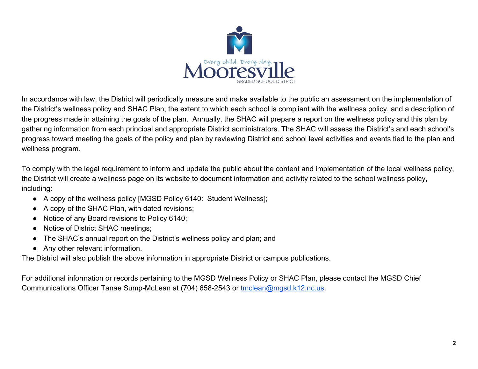

In accordance with law, the District will periodically measure and make available to the public an assessment on the implementation of the District's wellness policy and SHAC Plan, the extent to which each school is compliant with the wellness policy, and a description of the progress made in attaining the goals of the plan. Annually, the SHAC will prepare a report on the wellness policy and this plan by gathering information from each principal and appropriate District administrators. The SHAC will assess the District's and each school's progress toward meeting the goals of the policy and plan by reviewing District and school level activities and events tied to the plan and wellness program.

To comply with the legal requirement to inform and update the public about the content and implementation of the local wellness policy, the District will create a wellness page on its website to document information and activity related to the school wellness policy, including:

- A copy of the wellness policy [MGSD Policy 6140: Student Wellness];
- A copy of the SHAC Plan, with dated revisions;
- Notice of any Board revisions to Policy 6140;
- Notice of District SHAC meetings;
- The SHAC's annual report on the District's wellness policy and plan; and
- Any other relevant information.

The District will also publish the above information in appropriate District or campus publications.

For additional information or records pertaining to the MGSD Wellness Policy or SHAC Plan, please contact the MGSD Chief Communications Officer Tanae Sump-McLean at (704) 658-2543 or [tmclean@mgsd.k12.nc.us](mailto:tmclean@mgsd.k12.nc.us).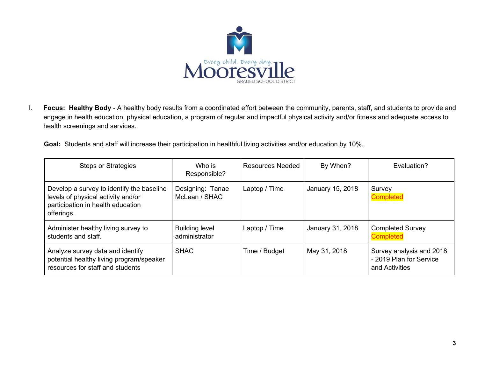

I. **Focus: Healthy Body** - A healthy body results from a coordinated effort between the community, parents, staff, and students to provide and engage in health education, physical education, a program of regular and impactful physical activity and/or fitness and adequate access to health screenings and services.

**Goal:** Students and staff will increase their participation in healthful living activities and/or education by 10%.

| <b>Steps or Strategies</b>                                                                                                         | Who is<br>Responsible?                 | Resources Needed | By When?         | Evaluation?                                                           |
|------------------------------------------------------------------------------------------------------------------------------------|----------------------------------------|------------------|------------------|-----------------------------------------------------------------------|
| Develop a survey to identify the baseline<br>levels of physical activity and/or<br>participation in health education<br>offerings. | Designing: Tanae<br>McLean / SHAC      | Laptop / Time    | January 15, 2018 | Survey<br><b>Completed</b>                                            |
| Administer healthy living survey to<br>students and staff.                                                                         | <b>Building level</b><br>administrator | Laptop / Time    | January 31, 2018 | <b>Completed Survey</b><br><b>Completed</b>                           |
| Analyze survey data and identify<br>potential healthy living program/speaker<br>resources for staff and students                   | <b>SHAC</b>                            | Time / Budget    | May 31, 2018     | Survey analysis and 2018<br>- 2019 Plan for Service<br>and Activities |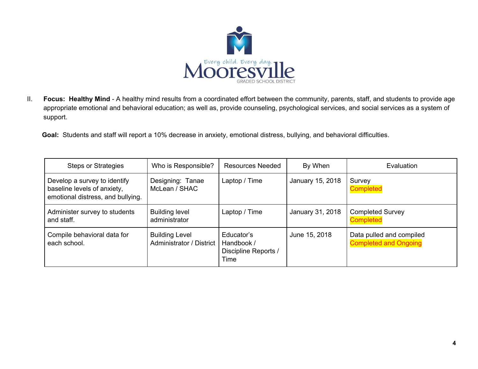

II. **Focus: Healthy Mind** - A healthy mind results from a coordinated effort between the community, parents, staff, and students to provide age appropriate emotional and behavioral education; as well as, provide counseling, psychological services, and social services as a system of support.

**Goal:** Students and staff will report a 10% decrease in anxiety, emotional distress, bullying, and behavioral difficulties.

| <b>Steps or Strategies</b>                                                                       | Who is Responsible?                               | <b>Resources Needed</b>                                  | By When          | Evaluation                                               |
|--------------------------------------------------------------------------------------------------|---------------------------------------------------|----------------------------------------------------------|------------------|----------------------------------------------------------|
| Develop a survey to identify<br>baseline levels of anxiety,<br>emotional distress, and bullying. | Designing: Tanae<br>McLean / SHAC                 | Laptop / Time                                            | January 15, 2018 | Survey<br><b>Completed</b>                               |
| Administer survey to students<br>and staff.                                                      | <b>Building level</b><br>administrator            | Laptop / Time                                            | January 31, 2018 | <b>Completed Survey</b><br><b>Completed</b>              |
| Compile behavioral data for<br>each school.                                                      | <b>Building Level</b><br>Administrator / District | Educator's<br>Handbook /<br>Discipline Reports /<br>Time | June 15, 2018    | Data pulled and compiled<br><b>Completed and Ongoing</b> |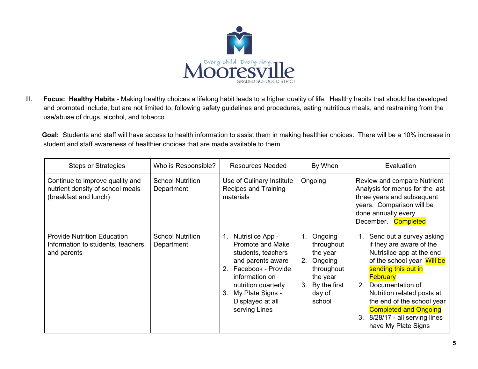

III. **Focus: Healthy Habits** - Making healthy choices a lifelong habit leads to a higher quality of life. Healthy habits that should be developed and promoted include, but are not limited to, following safety guidelines and procedures, eating nutritious meals, and restraining from the use/abuse of drugs, alcohol, and tobacco.

**Goal:** Students and staff will have access to health information to assist them in making healthier choices. There will be a 10% increase in student and staff awareness of healthier choices that are made available to them.

| <b>Steps or Strategies</b>                                                                   | Who is Responsible?                   | <b>Resources Needed</b>                                                                                                                                                                                                        | By When                                                                                                             | Evaluation                                                                                                                                                                                                                                                                                                                                          |
|----------------------------------------------------------------------------------------------|---------------------------------------|--------------------------------------------------------------------------------------------------------------------------------------------------------------------------------------------------------------------------------|---------------------------------------------------------------------------------------------------------------------|-----------------------------------------------------------------------------------------------------------------------------------------------------------------------------------------------------------------------------------------------------------------------------------------------------------------------------------------------------|
| Continue to improve quality and<br>nutrient density of school meals<br>(breakfast and lunch) | <b>School Nutrition</b><br>Department | Use of Culinary Institute<br>Recipes and Training<br>materials                                                                                                                                                                 | Ongoing                                                                                                             | Review and compare Nutrient<br>Analysis for menus for the last<br>three years and subsequent<br>years. Comparison will be<br>done annually every<br>December. Completed                                                                                                                                                                             |
| <b>Provide Nutrition Education</b><br>Information to students, teachers,<br>and parents      | <b>School Nutrition</b><br>Department | Nutrislice App -<br>1.<br>Promote and Make<br>students, teachers<br>and parents aware<br>Facebook - Provide<br>$2_{-}$<br>information on<br>nutrition quarterly<br>My Plate Signs -<br>3.<br>Displayed at all<br>serving Lines | 1. Ongoing<br>throughout<br>the year<br>2. Ongoing<br>throughout<br>the year<br>3. By the first<br>day of<br>school | 1. Send out a survey asking<br>if they are aware of the<br>Nutrislice app at the end<br>of the school year Will be<br>sending this out in<br><b>February</b><br>Documentation of<br>$2_{-}$<br>Nutrition related posts at<br>the end of the school year<br><b>Completed and Ongoing</b><br>8/28/17 - all serving lines<br>3.<br>have My Plate Signs |